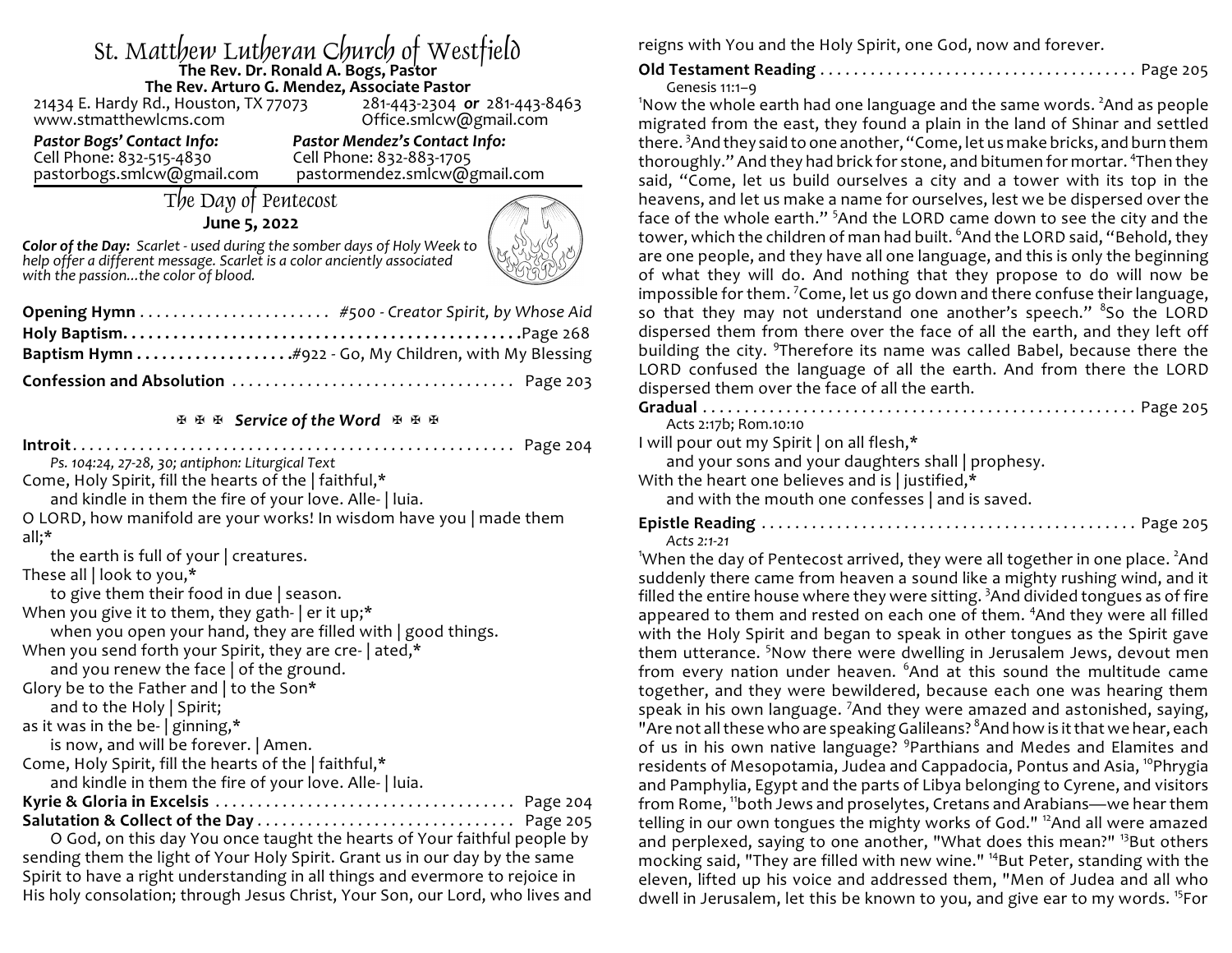# St. Matthew Lutheran Church of Westfield **The Rev. Dr. Ronald A. Bogs, Pastor The Rev. Arturo G. Mendez, Associate Pastor**

21434 E. Hardy Rd., Houston, TX 77073<br>www.stmatthewlcms.com

Office.smlcw@gmail.com

Cell Phone: 832-515-4830<br>pastorbogs.smlcw@gmail.com

Pastor Bogs' Contact Info:<br>
Cell Phone: 832-515-4830<br>
Cell Phone: 832-883-1705 pastormendez.smlcw@gmail.com

# The Day of Pentecost

### **June 5, 2022**



*Color of the Day: Scarlet - used during the somber days of Holy Week to help offer a different message. Scarlet is a color anciently associated with the passion...the color of blood.*

#### **图图图 Service of the Word** 图图图

**Introit**. . . . . . . . . . . . . . . . . . . . . . . . . . . . . . . . . . . . . . . . . . . . . . . . . . . . . Page 204 *Ps. 104:24, 27-28, 30; antiphon: Liturgical Text* Come, Holy Spirit, fill the hearts of the | faithful,\* and kindle in them the fire of your love. Alle- | luia. O LORD, how manifold are your works! In wisdom have you | made them all;\* the earth is full of your | creatures. These all | look to you,\* to give them their food in due | season. When you give it to them, they gath- | er it up;\* when you open your hand, they are filled with | good things. When you send forth your Spirit, they are cre- | ated,\* and you renew the face | of the ground. Glory be to the Father and | to the Son\* and to the Holy | Spirit; as it was in the be-  $|$  ginning,\* is now, and will be forever. | Amen. Come, Holy Spirit, fill the hearts of the | faithful,\* and kindle in them the fire of your love. Alle- | luia. **Kyrie & Gloria in Excelsis** . . . . . . . . . . . . . . . . . . . . . . . . . . . . . . . . . . . . Page 204 **Salutation & Collect of the Day** . . . . . . . . . . . . . . . . . . . . . . . . . . . . . . . Page 205 O God, on this day You once taught the hearts of Your faithful people by sending them the light of Your Holy Spirit. Grant us in our day by the same Spirit to have a right understanding in all things and evermore to rejoice in

His holy consolation; through Jesus Christ, Your Son, our Lord, who lives and

reigns with You and the Holy Spirit, one God, now and forever.

## **Old Testament Reading** . . . . . . . . . . . . . . . . . . . . . . . . . . . . . . . . . . . . . . Page 205

Genesis 11:1–9

'Now the whole earth had one language and the same words.  $^2$ And as people migrated from the east, they found a plain in the land of Shinar and settled there. <sup>3</sup>And they said to one another, "Come, let us make bricks, and burn them thoroughly." And they had brick for stone, and bitumen for mortar. <sup>4</sup>Then they said, "Come, let us build ourselves a city and a tower with its top in the heavens, and let us make a name for ourselves, lest we be dispersed over the face of the whole earth." <sup>5</sup>And the LORD came down to see the city and the tower, which the children of man had built. <sup>6</sup>And the LORD said, "Behold, they are one people, and they have all one language, and this is only the beginning of what they will do. And nothing that they propose to do will now be impossible for them.  $^7$ Come, let us go down and there confuse their language, so that they may not understand one another's speech." <sup>8</sup>So the LORD dispersed them from there over the face of all the earth, and they left off building the city. <sup>9</sup>Therefore its name was called Babel, because there the LORD confused the language of all the earth. And from there the LORD dispersed them over the face of all the earth.

| Acts 2:17b; Rom.10:10                               |  |
|-----------------------------------------------------|--|
| I will pour out my Spirit   on all flesh,*          |  |
| and your sons and your daughters shall   prophesy.  |  |
| With the heart one believes and is   justified, $*$ |  |
| and with the mouth one confesses   and is saved.    |  |
| $Acts$ 2:1-21                                       |  |

<sup>1</sup>When the day of Pentecost arrived, they were all together in one place. <sup>2</sup>And suddenly there came from heaven a sound like a mighty rushing wind, and it filled the entire house where they were sitting. <sup>3</sup>And divided tongues as of fire appeared to them and rested on each one of them. <sup>4</sup>And they were all filled with the Holy Spirit and began to speak in other tongues as the Spirit gave them utterance. <sup>5</sup>Now there were dwelling in Jerusalem Jews, devout men from every nation under heaven. <sup>6</sup>And at this sound the multitude came together, and they were bewildered, because each one was hearing them speak in his own language. <sup>7</sup>And they were amazed and astonished, saying, "Are not all these who are speaking Galileans? <sup>8</sup>And how is it that we hear, each of us in his own native language? <sup>9</sup>Parthians and Medes and Elamites and residents of Mesopotamia, Judea and Cappadocia, Pontus and Asia, <sup>10</sup>Phrygia and Pamphylia, Egypt and the parts of Libya belonging to Cyrene, and visitors from Rome, <sup>11</sup>both Jews and proselytes, Cretans and Arabians—we hear them telling in our own tongues the mighty works of God." <sup>12</sup>And all were amazed and perplexed, saying to one another, "What does this mean?" <sup>13</sup>But others mocking said, "They are filled with new wine." <sup>14</sup>But Peter, standing with the eleven, lifted up his voice and addressed them, "Men of Judea and all who dwell in Jerusalem, let this be known to you, and give ear to my words. <sup>15</sup>For